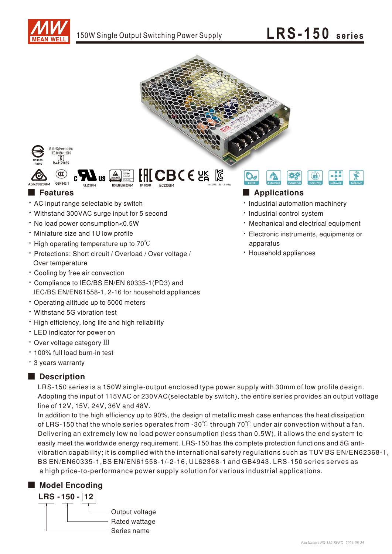







#### $\blacksquare$  Features

- AC input range selectable by switch
- Withstand 300VAC surge input for 5 second
- . No load power consumption<0.5W
- · Miniature size and 1U low profile
- $\cdot$  High operating temperature up to 70 $\degree$ C
- · Protections: Short circuit / Overload / Over voltage / Over temperature
- \* Cooling by free air convection
- \* Compliance to IEC/BS EN/EN 60335-1(PD3) and IEC/BS EN/EN61558-1, 2-16 for household appliances
- Operating altitude up to 5000 meters
- Withstand 5G vibration test
- . High efficiency, long life and high reliability
- LED indicator for power on
- · Over voltage category III
- · 100% full load burn-in test
- \* 3 years warranty

### Description

LRS-150 series is a 150W single-output enclosed type power supply with 30mm of low profile design. Adopting the input of 115VAC or 230VAC (selectable by switch), the entire series provides an output voltage line of 12V, 15V, 24V, 36V and 48V.

In addition to the high efficiency up to 90%, the design of metallic mesh case enhances the heat dissipation of LRS-150 that the whole series operates from -30 $\degree$  through 70 $\degree$ C under air convection without a fan. Delivering an extremely low no load power consumption (less than 0.5W), it allows the end system to easily meet the worldwide energy requirement. LRS-150 has the complete protection functions and 5G antivibration capability; it is complied with the international safety regulations such as TUV BS EN/EN62368-1, BS EN/EN60335-1, BS EN/EN61558-1/-2-16, UL62368-1 and GB4943. LRS-150 series serves as a high price-to-performance power supply solution for various industrial applications.

### Model Encoding



### Applications

- · Industrial automation machinery
- · Industrial control system
- Mechanical and electrical equipment
- · Electronic instruments, equipments or apparatus
- · Household appliances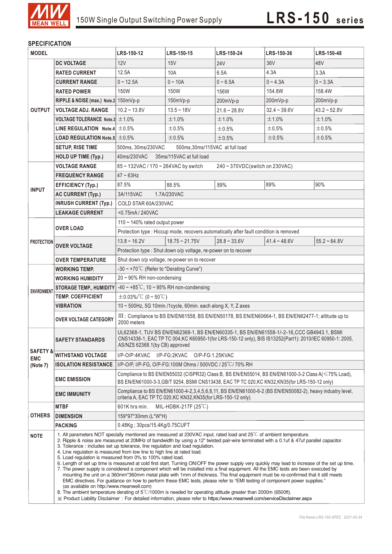

#### **SPECIFICATION**

| <b>MODEL</b>                                  |                                                                                                                                                                                                                                                                                                                                                                                                                                                                                                                                                                                                                                                                                                                                                                                                                                                                                                                                                                                                                                                                                                                                                                                                                                                                                                                                                               | LRS-150-12                                                                                                                                                                                                                               | LRS-150-15             | LRS-150-24     | LRS-150-36     | <b>LRS-150-48</b> |
|-----------------------------------------------|---------------------------------------------------------------------------------------------------------------------------------------------------------------------------------------------------------------------------------------------------------------------------------------------------------------------------------------------------------------------------------------------------------------------------------------------------------------------------------------------------------------------------------------------------------------------------------------------------------------------------------------------------------------------------------------------------------------------------------------------------------------------------------------------------------------------------------------------------------------------------------------------------------------------------------------------------------------------------------------------------------------------------------------------------------------------------------------------------------------------------------------------------------------------------------------------------------------------------------------------------------------------------------------------------------------------------------------------------------------|------------------------------------------------------------------------------------------------------------------------------------------------------------------------------------------------------------------------------------------|------------------------|----------------|----------------|-------------------|
|                                               | <b>DC VOLTAGE</b>                                                                                                                                                                                                                                                                                                                                                                                                                                                                                                                                                                                                                                                                                                                                                                                                                                                                                                                                                                                                                                                                                                                                                                                                                                                                                                                                             | 12V                                                                                                                                                                                                                                      | 15V                    | <b>24V</b>     | 36V            | 48V               |
| <b>OUTPUT</b>                                 | <b>RATED CURRENT</b>                                                                                                                                                                                                                                                                                                                                                                                                                                                                                                                                                                                                                                                                                                                                                                                                                                                                                                                                                                                                                                                                                                                                                                                                                                                                                                                                          | 12.5A                                                                                                                                                                                                                                    | 10A                    | 6.5A           | 4.3A           | 3.3A              |
|                                               | <b>CURRENT RANGE</b>                                                                                                                                                                                                                                                                                                                                                                                                                                                                                                                                                                                                                                                                                                                                                                                                                                                                                                                                                                                                                                                                                                                                                                                                                                                                                                                                          | $0 - 12.5A$                                                                                                                                                                                                                              | $0 - 10A$              | $0 - 6.5A$     | $0 - 4.3A$     | $0 - 3.3A$        |
|                                               | <b>RATED POWER</b>                                                                                                                                                                                                                                                                                                                                                                                                                                                                                                                                                                                                                                                                                                                                                                                                                                                                                                                                                                                                                                                                                                                                                                                                                                                                                                                                            | 150W                                                                                                                                                                                                                                     | 150W                   | 156W           | 154.8W         | 158.4W            |
|                                               | RIPPLE & NOISE (max.) Note.2 150mVp-p                                                                                                                                                                                                                                                                                                                                                                                                                                                                                                                                                                                                                                                                                                                                                                                                                                                                                                                                                                                                                                                                                                                                                                                                                                                                                                                         |                                                                                                                                                                                                                                          | $150mVp-p$             | 200mVp-p       | 200mVp-p       | 200mVp-p          |
|                                               | <b>VOLTAGE ADJ. RANGE</b>                                                                                                                                                                                                                                                                                                                                                                                                                                                                                                                                                                                                                                                                                                                                                                                                                                                                                                                                                                                                                                                                                                                                                                                                                                                                                                                                     | $10.2 - 13.8V$                                                                                                                                                                                                                           | $13.5 - 18V$           | $21.6 - 28.8V$ | $32.4 - 39.6V$ | $43.2 - 52.8V$    |
|                                               | VOLTAGE TOLERANCE Note.3 $\pm$ 1.0%                                                                                                                                                                                                                                                                                                                                                                                                                                                                                                                                                                                                                                                                                                                                                                                                                                                                                                                                                                                                                                                                                                                                                                                                                                                                                                                           |                                                                                                                                                                                                                                          | $±1.0\%$               | ±1.0%          | ±1.0%          | ±1.0%             |
|                                               | LINE REGULATION Note.4 $\pm$ 0.5%                                                                                                                                                                                                                                                                                                                                                                                                                                                                                                                                                                                                                                                                                                                                                                                                                                                                                                                                                                                                                                                                                                                                                                                                                                                                                                                             |                                                                                                                                                                                                                                          | ±0.5%                  | ±0.5%          | ±0.5%          | $\pm 0.5\%$       |
|                                               | <b>LOAD REGULATION Note.5 <math>\pm</math> 0.5%</b>                                                                                                                                                                                                                                                                                                                                                                                                                                                                                                                                                                                                                                                                                                                                                                                                                                                                                                                                                                                                                                                                                                                                                                                                                                                                                                           |                                                                                                                                                                                                                                          | ±0.5%                  | ±0.5%          | ±0.5%          | $\pm 0.5\%$       |
|                                               | <b>SETUP, RISE TIME</b>                                                                                                                                                                                                                                                                                                                                                                                                                                                                                                                                                                                                                                                                                                                                                                                                                                                                                                                                                                                                                                                                                                                                                                                                                                                                                                                                       | 500ms, 30ms/230VAC<br>500ms, 30ms/115VAC at full load                                                                                                                                                                                    |                        |                |                |                   |
|                                               | <b>HOLD UP TIME (Typ.)</b>                                                                                                                                                                                                                                                                                                                                                                                                                                                                                                                                                                                                                                                                                                                                                                                                                                                                                                                                                                                                                                                                                                                                                                                                                                                                                                                                    | 40ms/230VAC<br>35ms/115VAC at full load                                                                                                                                                                                                  |                        |                |                |                   |
|                                               | <b>VOLTAGE RANGE</b>                                                                                                                                                                                                                                                                                                                                                                                                                                                                                                                                                                                                                                                                                                                                                                                                                                                                                                                                                                                                                                                                                                                                                                                                                                                                                                                                          | 85~132VAC / 170~264VAC by switch<br>240 ~ 370VDC(switch on 230VAC)                                                                                                                                                                       |                        |                |                |                   |
| <b>INPUT</b>                                  | <b>FREQUENCY RANGE</b>                                                                                                                                                                                                                                                                                                                                                                                                                                                                                                                                                                                                                                                                                                                                                                                                                                                                                                                                                                                                                                                                                                                                                                                                                                                                                                                                        | $47 - 63$ Hz                                                                                                                                                                                                                             |                        |                |                |                   |
|                                               | <b>EFFICIENCY (Typ.)</b>                                                                                                                                                                                                                                                                                                                                                                                                                                                                                                                                                                                                                                                                                                                                                                                                                                                                                                                                                                                                                                                                                                                                                                                                                                                                                                                                      | 87.5%                                                                                                                                                                                                                                    | 88.5%                  | 89%            | 89%            | 90%               |
|                                               | <b>AC CURRENT (Typ.)</b>                                                                                                                                                                                                                                                                                                                                                                                                                                                                                                                                                                                                                                                                                                                                                                                                                                                                                                                                                                                                                                                                                                                                                                                                                                                                                                                                      | 3A/115VAC<br>1.7A/230VAC                                                                                                                                                                                                                 |                        |                |                |                   |
|                                               | <b>INRUSH CURRENT (Typ.)</b>                                                                                                                                                                                                                                                                                                                                                                                                                                                                                                                                                                                                                                                                                                                                                                                                                                                                                                                                                                                                                                                                                                                                                                                                                                                                                                                                  | COLD STAR 60A/230VAC                                                                                                                                                                                                                     |                        |                |                |                   |
|                                               | <b>LEAKAGE CURRENT</b>                                                                                                                                                                                                                                                                                                                                                                                                                                                                                                                                                                                                                                                                                                                                                                                                                                                                                                                                                                                                                                                                                                                                                                                                                                                                                                                                        | <0.75mA/240VAC                                                                                                                                                                                                                           |                        |                |                |                   |
| <b>PROTECTION</b>                             | <b>OVER LOAD</b>                                                                                                                                                                                                                                                                                                                                                                                                                                                                                                                                                                                                                                                                                                                                                                                                                                                                                                                                                                                                                                                                                                                                                                                                                                                                                                                                              | 110 ~ 140% rated output power                                                                                                                                                                                                            |                        |                |                |                   |
|                                               |                                                                                                                                                                                                                                                                                                                                                                                                                                                                                                                                                                                                                                                                                                                                                                                                                                                                                                                                                                                                                                                                                                                                                                                                                                                                                                                                                               | Protection type : Hiccup mode, recovers automatically after fault condition is removed                                                                                                                                                   |                        |                |                |                   |
|                                               | <b>OVER VOLTAGE</b>                                                                                                                                                                                                                                                                                                                                                                                                                                                                                                                                                                                                                                                                                                                                                                                                                                                                                                                                                                                                                                                                                                                                                                                                                                                                                                                                           | $13.8 - 16.2V$                                                                                                                                                                                                                           | $18.75 \approx 21.75V$ | $28.8 - 33.6V$ | $41.4 - 48.6V$ | $55.2 - 64.8V$    |
|                                               |                                                                                                                                                                                                                                                                                                                                                                                                                                                                                                                                                                                                                                                                                                                                                                                                                                                                                                                                                                                                                                                                                                                                                                                                                                                                                                                                                               | Protection type : Shut down o/p voltage, re-power on to recover                                                                                                                                                                          |                        |                |                |                   |
|                                               | <b>OVER TEMPERATURE</b>                                                                                                                                                                                                                                                                                                                                                                                                                                                                                                                                                                                                                                                                                                                                                                                                                                                                                                                                                                                                                                                                                                                                                                                                                                                                                                                                       | Shut down o/p voltage, re-power on to recover                                                                                                                                                                                            |                        |                |                |                   |
| <b>ENVIRONMENT</b>                            | WORKING TEMP.                                                                                                                                                                                                                                                                                                                                                                                                                                                                                                                                                                                                                                                                                                                                                                                                                                                                                                                                                                                                                                                                                                                                                                                                                                                                                                                                                 | $-30 \sim +70^{\circ}$ (Refer to "Derating Curve")                                                                                                                                                                                       |                        |                |                |                   |
|                                               | <b>WORKING HUMIDITY</b>                                                                                                                                                                                                                                                                                                                                                                                                                                                                                                                                                                                                                                                                                                                                                                                                                                                                                                                                                                                                                                                                                                                                                                                                                                                                                                                                       | $20 \sim 90\%$ RH non-condensing                                                                                                                                                                                                         |                        |                |                |                   |
|                                               | <b>STORAGE TEMP., HUMIDITY</b>                                                                                                                                                                                                                                                                                                                                                                                                                                                                                                                                                                                                                                                                                                                                                                                                                                                                                                                                                                                                                                                                                                                                                                                                                                                                                                                                | $-40 \sim +85^{\circ}$ C, 10 ~ 95% RH non-condensing                                                                                                                                                                                     |                        |                |                |                   |
|                                               | <b>TEMP. COEFFICIENT</b>                                                                                                                                                                                                                                                                                                                                                                                                                                                                                                                                                                                                                                                                                                                                                                                                                                                                                                                                                                                                                                                                                                                                                                                                                                                                                                                                      | $\pm$ 0.03%/°C (0 ~ 50°C)                                                                                                                                                                                                                |                        |                |                |                   |
|                                               | VIBRATION                                                                                                                                                                                                                                                                                                                                                                                                                                                                                                                                                                                                                                                                                                                                                                                                                                                                                                                                                                                                                                                                                                                                                                                                                                                                                                                                                     | $10 \sim 500$ Hz, 5G 10min./1cycle, 60min. each along X, Y, Z axes                                                                                                                                                                       |                        |                |                |                   |
|                                               | <b>OVER VOLTAGE CATEGORY</b>                                                                                                                                                                                                                                                                                                                                                                                                                                                                                                                                                                                                                                                                                                                                                                                                                                                                                                                                                                                                                                                                                                                                                                                                                                                                                                                                  | III ; Compliance to BS EN/EN61558, BS EN/EN50178, BS EN/EN60664-1, BS EN/EN62477-1; altitude up to<br>2000 meters                                                                                                                        |                        |                |                |                   |
| <b>SAFETY &amp;</b><br><b>EMC</b><br>(Note 7) | <b>SAFETY STANDARDS</b>                                                                                                                                                                                                                                                                                                                                                                                                                                                                                                                                                                                                                                                                                                                                                                                                                                                                                                                                                                                                                                                                                                                                                                                                                                                                                                                                       | UL62368-1, TUV BS EN/EN62368-1, BS EN/EN60335-1, BS EN/EN61558-1/-2-16, CCC GB4943.1, BSMI<br>CNS14336-1, EAC TP TC 004, KC K60950-1(for LRS-150-12 only), BIS IS13252(Part1): 2010/IEC 60950-1: 2005,<br>AS/NZS 62368.1(by CB) approved |                        |                |                |                   |
|                                               | <b>WITHSTAND VOLTAGE</b>                                                                                                                                                                                                                                                                                                                                                                                                                                                                                                                                                                                                                                                                                                                                                                                                                                                                                                                                                                                                                                                                                                                                                                                                                                                                                                                                      | I/P-O/P:4KVAC<br>I/P-FG:2KVAC<br>O/P-FG:1.25KVAC                                                                                                                                                                                         |                        |                |                |                   |
|                                               | <b>ISOLATION RESISTANCE</b>                                                                                                                                                                                                                                                                                                                                                                                                                                                                                                                                                                                                                                                                                                                                                                                                                                                                                                                                                                                                                                                                                                                                                                                                                                                                                                                                   | I/P-O/P, I/P-FG, O/P-FG:100M Ohms / 500VDC / 25°C/70% RH                                                                                                                                                                                 |                        |                |                |                   |
|                                               | <b>EMC EMISSION</b>                                                                                                                                                                                                                                                                                                                                                                                                                                                                                                                                                                                                                                                                                                                                                                                                                                                                                                                                                                                                                                                                                                                                                                                                                                                                                                                                           | Compliance to BS EN/EN55032 (CISPR32) Class B, BS EN/EN55014, BS EN/EN61000-3-2 Class A(≤75% Load),<br>BS EN/EN61000-3-3, GB/T 9254, BSMI CNS13438, EAC TP TC 020, KC KN32, KN35(for LRS-150-12 only)                                    |                        |                |                |                   |
|                                               | <b>EMC IMMUNITY</b>                                                                                                                                                                                                                                                                                                                                                                                                                                                                                                                                                                                                                                                                                                                                                                                                                                                                                                                                                                                                                                                                                                                                                                                                                                                                                                                                           | Compliance to BS EN/EN61000-4-2,3,4,5,6,8,11, BS EN/EN61000-6-2 (BS EN/EN50082-2), heavy industry level,<br>criteria A, EAC TP TC 020, KC KN32, KN35 (for LRS-150-12 only)                                                               |                        |                |                |                   |
| <b>OTHERS</b>                                 | <b>MTBF</b>                                                                                                                                                                                                                                                                                                                                                                                                                                                                                                                                                                                                                                                                                                                                                                                                                                                                                                                                                                                                                                                                                                                                                                                                                                                                                                                                                   | MIL-HDBK-217F $(25^{\circ}C)$<br>601K hrs min.                                                                                                                                                                                           |                        |                |                |                   |
|                                               | <b>DIMENSION</b>                                                                                                                                                                                                                                                                                                                                                                                                                                                                                                                                                                                                                                                                                                                                                                                                                                                                                                                                                                                                                                                                                                                                                                                                                                                                                                                                              | 159*97*30mm (L*W*H)                                                                                                                                                                                                                      |                        |                |                |                   |
|                                               | <b>PACKING</b>                                                                                                                                                                                                                                                                                                                                                                                                                                                                                                                                                                                                                                                                                                                                                                                                                                                                                                                                                                                                                                                                                                                                                                                                                                                                                                                                                | 0.48Kg; 30pcs/15.4Kg/0.75CUFT                                                                                                                                                                                                            |                        |                |                |                   |
| <b>NOTE</b>                                   | 1. All parameters NOT specially mentioned are measured at 230VAC input, rated load and $25^{\circ}$ of ambient temperature.<br>2. Ripple & noise are measured at 20MHz of bandwidth by using a 12" twisted pair-wire terminated with a 0.1uf & 47uf parallel capacitor.<br>3. Tolerance: includes set up tolerance, line regulation and load regulation.<br>4. Line regulation is measured from low line to high line at rated load.<br>5. Load regulation is measured from 0% to 100% rated load.<br>6. Length of set up time is measured at cold first start. Turning ON/OFF the power supply very quickly may lead to increase of the set up time.<br>7. The power supply is considered a component which will be installed into a final equipment. All the EMC tests are been executed by<br>mounting the unit on a 360mm*360mm metal plate with 1mm of thickness. The final equipment must be re-confirmed that it still meets<br>EMC directives. For guidance on how to perform these EMC tests, please refer to "EMI testing of component power supplies."<br>(as available on http://www.meanwell.com)<br>8. The ambient temperature derating of 5°C/1000m is needed for operating altitude greater than 2000m (6500ft).<br>X Product Liability Disclaimer: For detailed information, please refer to https://www.meanwell.com/serviceDisclaimer.aspx |                                                                                                                                                                                                                                          |                        |                |                |                   |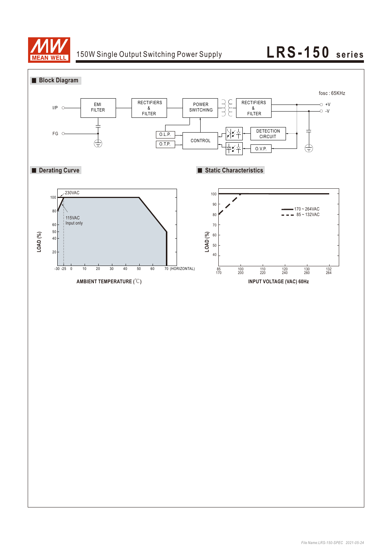

## 150W Single Output Switching Power Supply **LRS-150** series